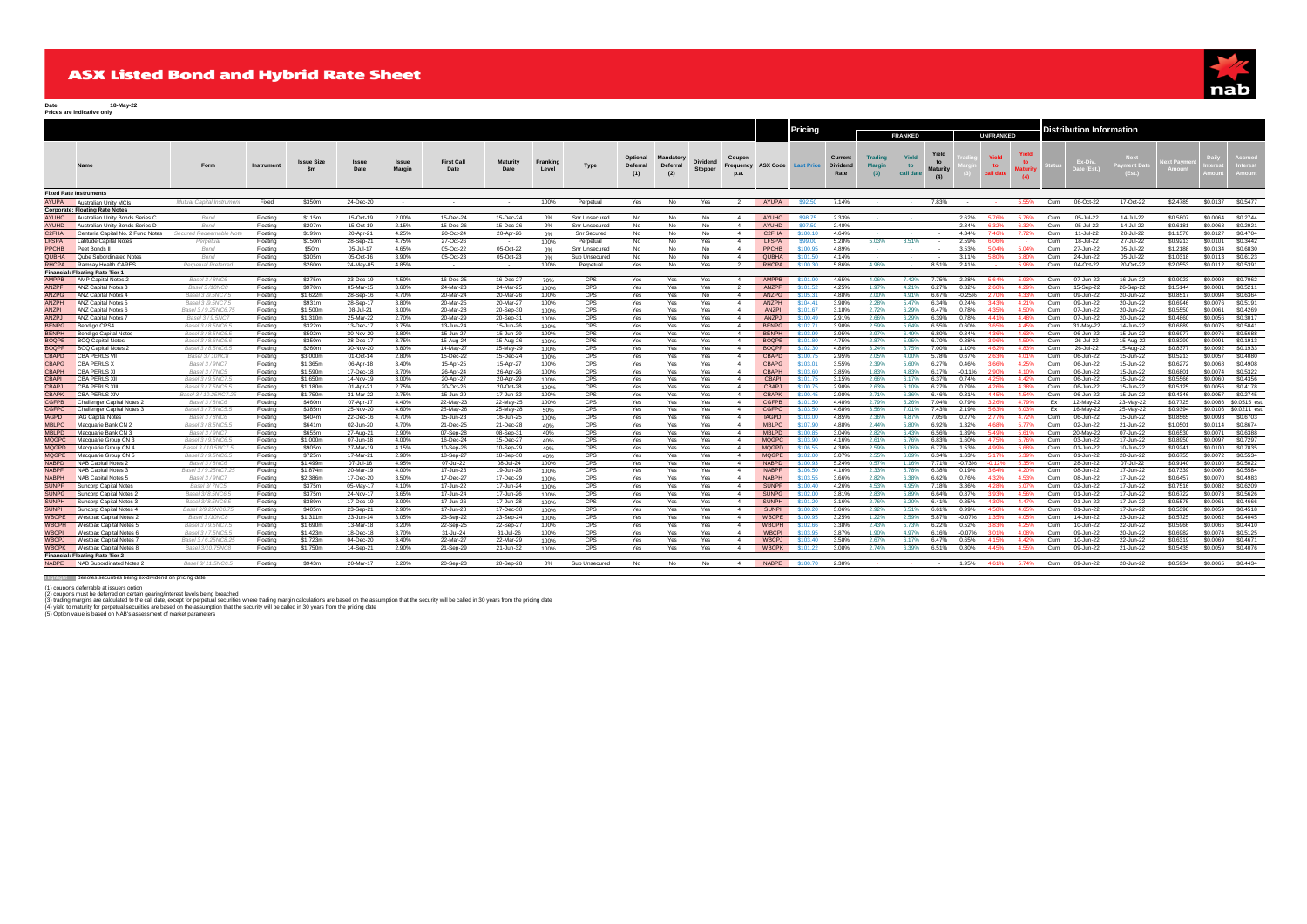# **ASX Listed Bond and Hybrid Rate Sheet**



**Date 18-May-22 Prices are indicative only**

|                              |                                                     |                                        |                      |                      |                        |                 |                           |                         |                   |                    |                                           |                                    |                   |                              |                              | <b>Pricing</b>             |                                    |                                        |                          |                                       |                |                    |                           | Distribution Information |                        |                        |                           |                      |                       |
|------------------------------|-----------------------------------------------------|----------------------------------------|----------------------|----------------------|------------------------|-----------------|---------------------------|-------------------------|-------------------|--------------------|-------------------------------------------|------------------------------------|-------------------|------------------------------|------------------------------|----------------------------|------------------------------------|----------------------------------------|--------------------------|---------------------------------------|----------------|--------------------|---------------------------|--------------------------|------------------------|------------------------|---------------------------|----------------------|-----------------------|
|                              |                                                     |                                        |                      |                      |                        |                 |                           |                         |                   |                    |                                           |                                    |                   |                              |                              |                            |                                    | <b>FRANKED</b>                         |                          |                                       | UNFRANKED      |                    |                           |                          |                        |                        |                           |                      |                       |
|                              |                                                     | Form                                   | Instrumen            | Issue Size           | Issue<br>Date          | Issue<br>Margin | <b>First Call</b><br>Date | <b>Maturity</b><br>Date | Franking<br>Level | Type               | <b>Optional</b><br><b>Deferral</b><br>(1) | <b>Mandator</b><br>Deferral<br>(2) | Dividend          | Coupon<br>Frequency          |                              | <b>ASX Code</b> Last Price | Current<br><b>Dividend</b><br>Rate | <b>Trading</b><br><b>Margin</b><br>(3) | Yield<br>to<br>call date | Yield<br>to<br><b>Maturity</b><br>(4) |                | to                 | Yield<br>to<br>aturit     |                          | Ex-Di<br>Date (Es      | <b>Next</b><br>(Est.)  | xt Pavi<br><b>\moun</b> t |                      |                       |
|                              | <b>Fixed Rate Instruments</b>                       |                                        |                      |                      |                        |                 |                           |                         |                   |                    |                                           |                                    |                   |                              |                              |                            |                                    |                                        |                          |                                       |                |                    |                           |                          |                        |                        |                           |                      |                       |
| AYUPA                        | Australian Unity MCIs                               | Mutual Capital Instrument              | Fixed                | \$350m               | 24-Dec-20              | $\sim$          |                           |                         | 100%              | Perpetual          | Yes                                       | No                                 | Yes               | $\mathcal{D}$                | AYUPA                        | \$92.50                    | 7.14%                              |                                        |                          | 7.83%                                 |                |                    | 5.55%                     | Cum                      | 06-Oct-22              | 17-Oct-22              | \$2,4785                  | \$0,0137             | S0.5477               |
|                              | <b>Corporate: Floating Rate Notes</b>               |                                        |                      |                      |                        |                 |                           |                         |                   |                    |                                           |                                    |                   |                              |                              |                            |                                    |                                        |                          |                                       |                |                    |                           |                          |                        |                        |                           |                      |                       |
| <b>AYUHC</b>                 | Australian Unity Bonds Series                       | Bond                                   | Floating             | \$115m               | 15-Oct-19              | 2.00%           | 15-Dec-24                 | 15-Dec-24               | 0%                | Snr Unsecured      | No                                        | No                                 | No                | $\sim$                       | AYUHC                        | <b>S98 75</b>              | 2.33%                              |                                        |                          |                                       | 2.62%          | 5 76%              |                           | Cum                      | 05-Jul-22              | 14-Jul-22              | \$0,5807                  | \$0,0064             | S0.2744               |
| AYUHD                        | Australian Unity Bonds Series D                     | Bond                                   | Floating             | \$207m               | 15-Oct-19              | 2.15%           | 15-Dec-26                 | 15-Dec-26               | 0%                | Snr Unsecured      | No                                        | No                                 | No                | $\boldsymbol{A}$             | AYUHD                        | \$97.50                    | 2.48%                              |                                        |                          |                                       | 2.84%          | 6.32%              | 6.32%                     | Cum                      | 05-Jul-22              | 14-Jul-22              | \$0.6181                  | \$0,0068             | S0.2921               |
| C <sub>2</sub> FHA           | Centuria Capital No. 2 Fund Notes                   | Secured Redeemable No                  | Floating             | \$199m               | 20-Apr-21              | 4.25%           | 20-Oct-24                 | 20-Apr-26               | 0%                | <b>Snr Secured</b> | No                                        | No                                 | No                | $\boldsymbol{\Lambda}$       | C <sub>2</sub> FHA           | \$100.10                   | 4.64%                              |                                        |                          |                                       | 4.34%          | 7.46%              | 7.72%                     | Cum                      | 11-Jul-22              | 20-Jul-22              | \$1,1570                  | \$0.0127             | S0.4704               |
| <b>LFSPA</b>                 | <b>Latitude Capital Notes</b>                       | Pernetua                               | Floating             | \$150m               | 28-Sep-21              | 4.75%           | 27-Oct-26                 | $\sim$                  | 100%              | Perpetual          | No                                        | No                                 | Yes               | 4                            | <b>LFSPA</b>                 | \$99.00                    | 5.28%                              | 5.03%                                  | 8.51%                    |                                       | 2.59%          | 6 069              |                           | Cum                      | 18-Jul-22              | 27-Jul-22              | \$0.9213                  | \$0.0101<br>\$0.0134 | S0.3442<br>\$0,6830   |
| PPCHB<br>QUBHA               | Peet Bonds I                                        | Bond                                   | Floating             | \$50m                | 05-Jul-17              | 4.65%           | 05-Oct-22                 | 05-Oct-22               | 0%                | Snr Unsecured      | No                                        | No                                 | No                | $\boldsymbol{A}$             | PPCHB                        | \$100.95                   | 4.89%                              |                                        |                          |                                       | 3.53%          | 5.04%              | 5.04%                     | Cum                      | 27-Jun-22              | 05-Jul-22              | \$1,2188                  |                      | S0.6123               |
|                              | Qube Subordinated Note                              | Bond                                   | Floating             | \$305m               | 05-Oct-16              | 3.90%           | 05-Oct-23                 | 05-Oct-23               | 0%                | Sub Unsecured      | No                                        | No                                 | No                | 4                            | <b>QUBHA</b>                 | \$101.50                   | 4.14%                              |                                        |                          |                                       | 3.11%          | 5.80%              | 5.80%                     | Cum                      | 24-Jun-22              | 05-Jul-22              | \$1,0318                  | \$0.0113             |                       |
| <b>RHCPA</b>                 | Ramsay Health CARE<br>Financial: Floating Rate Tier | Pernetual Preferrer                    | Floating             | \$260m               | 24-May-05              | 4.85%           |                           |                         | 100%              | Perpetual          | Yes                                       | No                                 | Yes               |                              | RHCPA                        | \$100.30                   | 586%                               | 4.96%                                  |                          | 8.51%                                 | 241%           |                    | 5.96%                     | Cum                      | 04-Oct-22              | 20-Oct-22              | \$2,0553                  | \$0.0112             | \$0,5391              |
| <b>AMPPB</b>                 | AMP Capital Notes 2                                 | Basel 3/8NC6                           | Floating             | \$275m               | 23-Dec-19              | 4.50%           | 16-Dec-25                 | 16-Dec-27               | 70%               | <b>CPS</b>         | Yes                                       | Yes                                | Yes               | $-4$                         | AMPPB                        | \$101.90                   | 4.65%                              | 4.06%                                  | 7.42%                    | 7.75%                                 | 2.28%          | 5.64%              | 5.93%                     | Cum                      | 07-Jun-22              | 16-Jun-22              | \$0,9023                  | \$0,0098             | S0.7062               |
| ANZPF                        | ANZ Capital Notes :                                 | Basel 3/10NC8                          | Floating             | \$970m               | 05-Mar-15              | 3.60%           | 24-Mar-23                 | 24-Mar-25               | 100%              | <b>CPS</b>         | Yes                                       | Yes                                | Yes               |                              | ANZPF                        | 101.52                     | 4.25%                              | 1.97%                                  | 4.21%                    | 6.27%                                 | 0.32%          | 2.60%              | 4.29%                     | Cum                      | 15-Sep-22              | 26-Sep-22              | \$1,5144                  | \$0,0081             | S0.5211               |
| ANZPG                        | ANZ Capital Notes 4                                 | Basel 3 /9 5NC7 5                      | Floating             | \$1,622m             | 28-Sep-16              | 4.70%           | 20-Mar-24                 | 20-Mar-26               | 100%              | CPS.               | Yes                                       | Yes.                               | No                | $\sim$                       | <b>ANZPG</b>                 | \$105.31                   | 488%                               | 2.00%                                  | 491%                     | 6.67%                                 | $-0.25%$       | 2.70%              | 4.33%                     | Cum                      | 09-Jun-22              | 20-Jun-22              | \$0,8517                  | \$0,0094             | \$0,6364              |
| ANZPH                        | ANZ Capital Notes !                                 | Basel 3 /9 5NC7 5                      | Floating             | \$931m               | 28-Sep-17              | 3.80%           | 20-Mar-25                 | 20-Mar-27               | 100%              | CPS.               | Yes                                       | Yes.                               | Yes               | $\sim$                       | ANZPH                        | \$104.41                   | 3.98%                              | 2.28%                                  | 5.47%                    | 6.34%                                 | 0.24%          | 3.43%              | 4.21%                     | Cum                      | 09-Jun-22              | 20-Jun-22              | \$0,6946                  | \$0,0076             | \$0.5191              |
| ANZPI                        | <b>ANZ Capital Notes 6</b>                          | Basel 3 / 9 25NC6 7                    | Floating             | \$1,500m             | 08-Jul-21              | 3.00%           | 20-Mar-28                 | 20-Sep-30               | 100%              | <b>CPS</b>         | Yes                                       | Yes                                | <b>Yes</b>        | $\sim$                       | <b>ANZPI</b>                 | \$101.67                   | 3.18%                              | 2.72%                                  | 6.29%                    | 6.47%                                 | 0.78%          | 4.35%              | 4.50%                     | Cum                      | 07-Jun-22              | 20-Jun-22              | \$0,5550                  | \$0,0061             | \$0,4269              |
| ANZPJ                        | <b>ANZ Capital Notes</b>                            | Basel 3 / 9.5NC7                       | Floating             | \$1,310m             | 25-Mar-22              | 2.70%           | 20-Mar-29                 | 20-Sep-31               | 100%              | CPS                | Yes                                       | Yes                                | Voc               | $\mathbf{A}$                 | <b>ANZPJ</b>                 | \$100.49                   | 2.91%                              | 2.66%                                  | 6.29%                    | 6.39%                                 | 0.78%          | A 41%              | $A$ $AB$ <sup>o</sup> $A$ | Cum                      | 07-Jun-22              | 20-Jun-22              | \$0,4860                  | \$0,0056             | \$0,3017              |
| <b>BENPG</b>                 | Bendigo CPS4                                        | Basel 3/8,5NC6.5                       | Floating             | \$322m               | 13-Dec-17              | 3.75%           | 13-Jun-24                 | 15-Jun-26               | 100%              | CPS                | Yes                                       | Yes                                | Yes               | 4                            | <b>BENPG</b>                 | \$102.71                   | 3.90%                              | 2.59%                                  | 5.64%                    | 6.55%                                 | 0.60%          | 3.65%              | 4 45%                     | Cum                      | 31-May-22              | 14-Jun-22              | \$0,6889                  | \$0,0075             | S0.5841               |
| <b>BENPH</b>                 | Bendigo Capital Note                                | Basel 3/8,5NC6.5                       | Floating             | \$502m               | 30-Nov-20              | 3.80%           | 15-Jun-27                 | 15-Jun-29               | 100%              | CPS                | Yes                                       | Yes                                | Yes               | $\boldsymbol{A}$             | <b>BENPH</b>                 | 103.99                     | 3.95%                              | 2.97%                                  | 6.49%                    | 6.80%                                 | 0.84%          | 1.36%              | 4.63%                     | Cum                      | 06-Jun-22              | 15-Jun-22              | \$0,6977                  | \$0,0076             | \$0,5688              |
| <b>BOOPE</b>                 | <b>BOQ Capital Notes</b>                            | Basel 3/8,6NC6.6                       | Floating             | \$350m               | 28-Dec-17              | 3.75%           | 15-Aug-24                 | 15-Aug-26               | 100%              | <b>CPS</b>         | Yes                                       | Yes                                | Yes               | $\sim$                       | <b>BOOPE</b>                 | \$101.80                   | 4.75%                              | 2.87%                                  | 5.95%                    | 6.70%                                 | 0.88%          | 3.96%              | 4.59%                     | Cum                      | 26-Jul-22              | 15-Aug-22              | \$0,8290                  | \$0,0091             | S0.1913               |
| <b>BOQPF</b>                 | <b>BOQ Capital Notes:</b>                           | Basel 3/8,5NC6.5                       | Floating             | \$260m               | 30-Nov-20              | 3.80%           | 14-May-27                 | 15-May-29               | 100%              | CPS                | Yes                                       | Yes                                | Yes               | 4                            | <b>BOQPF</b>                 | \$102.30                   | 4.80%                              | 3.24%                                  | 6.75%                    | 7.00%                                 | 1.10%          | 4.62%              | 4.83%                     | Cum                      | 26-Jul-22              | 15-Aug-22              | \$0.8377                  | \$0,0092             | \$0,1933              |
| <b>CBAPD</b>                 | <b>CBA PERLS VII</b>                                | Basel 3 / 10NC8                        | Floating             | \$3,000m             | 01-Oct-14              | 2.80%           | 15-Dec-22                 | 15-Dec-24               | 100%              | <b>CPS</b>         | Yes                                       | Yes                                | Yes               | $\sim$                       | <b>CBAPD</b>                 | \$100.75                   | 2.95%                              | 2.05%                                  | 4.00%                    | 5.78%                                 | 0.67%          | 2.63%              | 4.01%                     | Cum                      | 06-Jun-22              | 15-Jun-22              | \$0,5213                  | \$0,0057             | \$0,4080              |
| <b>CBAPG</b>                 | <b>CBA PERLS X</b>                                  | Basel 3/9NC7                           | Floating             | \$1,365m             | 06-Apr-18              | 3.40%           | 15-Apr-25                 | 15-Apr-27               | 100%              | CPS                | Yes                                       | Yes                                | Yes               | $\sim$                       | <b>CBAPG</b>                 | \$103.01                   | 3.55%                              | 2.39%                                  | 5.60%                    | 6.27%                                 | 0.46%          | 3.66%              | 4.25%                     | Cum                      | 06-Jun-22              | 15-Jun-22              | \$0.6272                  | \$0,0068             | S0.4908               |
| <b>CRAPH</b>                 | <b>CBA PERLS X</b>                                  | Basel 3/7NC5                           | Floating             | \$1,590m             | 17-Dec-18              | 3.70%           | 26-Apr-24                 | 26-Apr-26               | 100%              | CPS                | Yes                                       | Yes                                | Yes               | $\sim$                       | <b>CBAPH</b>                 | \$103.60                   | 3.85%                              | 1.83%                                  | 4.83%                    | 6.17%                                 | $-0.11%$       | 2.90%              | 4 10%                     | Cum                      | 06-Jun-22              | 15-Jun-22              | \$0,6801                  | \$0,0074             | \$0,5322              |
| <b>CRAPI</b>                 | CBA PERLS XII                                       | Basel 3/9 5NC7 5                       | Floating             | \$1.650m             | 14-Nov-19              | 3.00%           | 20-Apr-27                 | 20-Apr-29               | 100%              | CPS.               | Yes                                       | Yes                                | <b>Yes</b>        | $\Lambda$                    | CBAPL                        | \$101.75                   | 3 1 5%                             | 2.66%                                  | 6.17%                    | 6.37%                                 | 0.74%          | 4 25%              | 4.42%                     | Cum                      | 06-Jun-22              | 15-Jun-22              | \$0,5566                  | \$0,0060             | \$0,4356              |
| <b>CBAPJ</b>                 | <b>CBA PERLS XIII</b>                               | Basel 3/7 5NC5 5                       | Floating             | \$1,180m             | 01-Apr-21              | 2.75%           | 20-Oct-26                 | 20-Oct-28               | 100%              | CPS                | Yes                                       | Yes                                | Yes               | $\mathbf{A}$                 | <b>CBAPJ</b>                 | \$100.75                   | 2.90%                              | 2.63%                                  | 6.10%                    | 6.27%                                 | 0.79%          | 4.26%              | 4.38%                     | Cum                      | 06-Jun-22              | 15-Jun-22              | \$0.5125                  | \$0,0056             | \$0.4178              |
| <b>CBAPK</b>                 | CBA PERLS XIV                                       | Basel 3 / 10.25NC7.25                  | Floating             | \$1,750m             | 31-Mar-22              | 2.75%           | 15-Jun-29                 | 17-Jun-32               | 100%              | CPS                | Yes                                       | Yes                                | Yes               | $\sim$                       | <b>CBAPK</b>                 | \$100.45                   | 2.98%                              | 2.71%                                  | 6.36%                    | 6.46%                                 | 0.81%          | 4.45%              | 4.54%                     | Cum                      | 06-Jun-22              | 15-Jun-22              | \$0,4346                  | \$0,0057             | S0.2745               |
| <b>CGFPB</b>                 | <b>Challenger Capital Notes:</b>                    | Basel 3/8NC6                           | Floating             | \$460m               | 07-Apr-17              | 4.40%           | 22-May-23                 | 22-May-25               | 100%              | CPS                | Yes                                       | Yes                                | Yes               |                              | <b>CGFPB</b>                 | \$101.50                   | 4.48%                              | 2.79%                                  | 5.26%                    | 7.04%                                 | 0.79%          | 326%               | 4.79%                     | в                        | 12-May-22              | 23-Mav-22              | \$0,7725                  | \$0,0086             | \$0,0515 est          |
| <b>CGFPC</b>                 | Challenger Capital Notes 3                          | Basel 3/7.5NC5.5                       | Floating             | \$385m               | 25-Nov-20              | 4.60%           | 25-May-26                 | 25-May-28               | 50%               | CPS                | Yes                                       | Yes                                | Yes               | 4                            | <b>CGFPC</b>                 | \$103.50                   | 4.68%                              | 3.56%                                  | 7.01%                    | 7.43%                                 | 2.19%          | 5.63%              | 6.03%                     | Ex                       | 16-May-22              | 25-May-22              | \$0.9394                  |                      | \$0.0106 \$0.0211 est |
| <b>IAGPD</b>                 | <b>IAG Capital Notes</b>                            | Basel 3/8NC6                           | Floating             | \$404m               | 22-Dec-16              | 4.70%           | 15-Jun-23                 | 16-Jun-25               | 100%              | CPS.               | Yes                                       | Yes                                | Yes               | 4                            | <b>IAGPD</b>                 | \$103.00                   | 4.85%                              | 2.36%                                  | 4.87%                    | 7.05%                                 | 0.27%          | 2.77%              | 4.72%                     | Cum                      | 06-Jun-22              | 15-Jun-22              | \$0,8565                  | \$0,0093             | \$0,6703              |
| <b>MBLPC</b>                 | Macquarie Bank CN 2                                 | Basel 3 / 8.5NC5.5                     | Floating             | S641m                | 02-Jun-20              | 4.70%           | 21-Dec-25                 | 21-Dec-28               | 40%               | <b>CPS</b>         | Yes                                       | Yes                                | Yes               | $\sim$                       | <b>MBLPC</b>                 | \$107.90                   | 4.88%                              | 2.44%                                  | 5.80%                    | 6.92%                                 | 1.32%          | 4.68%              | 5.77%                     | Cum                      | 02-Jun-22              | 21-Jun-22              | \$1,0501                  | \$0.0114             | \$0.8674              |
| <b>MBLPD</b>                 | Macquarie Bank CN 3                                 | Basel 3 / 9NC7                         | Floating             | \$655m               | 27-Aug-21              | 2.90%           | 07-Sep-28                 | 08-Sep-31               | 40%               | CPS                | Yes                                       | Yes.                               | Yes               | 4                            | <b>MBLPD</b>                 | \$100.85                   | 3.04%                              | 2.82%                                  | 6.43%                    | 6.56%                                 | 1.89%          | 5.49%              | 5.61%                     | Cum                      | 20-May-22              | 07-Jun-22              | \$0,6530                  | \$0,0071             | \$0,6388              |
| <b>MQGPC</b>                 | Macquarie Group CN 3                                | Basel 3 / 9 5NC6 5                     | Floating             | \$1,000m             | $07 - \ln n - 18$      | 4.00%           | 16-Dec-24                 | 15-Dec-27               | 40%               | CPS                | Yes                                       | <b>Yes</b>                         | Yes               | $\sim$                       | MOGPC                        | \$103.90                   | 4 16%                              | 2.61%                                  | 5 7 6%                   | 6.83%                                 | 1.60%          | 4 75%              | 5.76%                     | Cum                      | 03-Jun-22              | 17-Jun-22              | \$0,8950                  | \$0,0097             | S0.7297               |
| <b>MQGPD</b>                 | Macquarie Group CN 4                                | Basel 3 / 10 5NC7 5                    | Floating             | \$905m               | 27-Mar-19              | 4 1 5%          | 10-Sep-26                 | 10-Sep-29               | 40%               | CPS.               | <b>Yes</b>                                | Yes                                | Yes               | $\sim$                       | <b>MQGPD</b>                 | \$106.55                   | 4.30%                              | 2.59%                                  | 6.06%                    | 6.77%                                 | 1.53%          | 4.99%              | 5.68%                     | Cum                      | 01-Jun-22              | 10-Jun-22              | \$0,9241                  | \$0,0100             | \$0,7835              |
| <b>MQGPE</b>                 | Macquarie Group CN 5                                | Basel 3 / 9.5NC6.5                     | Floating             | \$725m               | 17-Mar-21              | 2.90%           | 18-Sep-27                 | 18-Sep-30               | 40%               | <b>CPS</b>         | Yes                                       | Yes                                | Yes               | $\mathbf{A}$<br>$\mathbf{A}$ | <b>MQGPE</b><br><b>NARPD</b> | <b>102.00</b><br>\$100.93  | 3.07%                              | 2.55%                                  | A DOM<br>1.16%           | 6.34%                                 | 163%           | 5.17%<br>$-0.1296$ | 5.39%<br>535%             | Cum                      | 01-Jun-22              | 20-Jun-22              | \$0.6755                  | \$0,0072             | S0.5534               |
| <b>NABPD</b><br><b>NABPF</b> | NAB Capital Notes 2                                 | Basel 3/8NC6                           | Floating             | \$1,499m<br>\$1,874m | 07-Jul-16<br>20-Mar-19 | 4.95%<br>4.00%  | 07-Jul-22<br>17-Jun-26    | 08-Jul-24               | 100%              | CPS<br>CPS         | Yes                                       | Yes                                | <b>Yes</b>        |                              | <b>NABPF</b>                 | \$106.50                   | 5.24%<br>4.16%                     | 0.57%                                  |                          | 7.71%                                 | $-0.73%$       | 3.64%              |                           | Cum<br>Cum               | 28-Jun-22<br>08-Jun-22 | 07-Jul-22<br>17-Jun-22 | \$0.9140<br>\$0.7339      | \$0,0100<br>\$0,0080 | \$0,5022<br>\$0,5584  |
| <b>NABPH</b>                 | NAB Capital Notes 3<br>NAB Capital Notes 5          | Basel 3 / 9.25NC7.23<br>Basel 3 / 9NC7 | Floating             | \$2,386m             | 17-Dec-20              | 3.50%           | 17-Dec-27                 | 19-Jun-28               | 100%              | CPS                | Yes                                       | Yes                                | Yes<br><b>Yes</b> | 4<br>4                       | <b>NARPH</b>                 | \$103.55                   | 3.66%                              | 2.33%<br>2.82%                         | 5.78%<br>6.38%           | 6.38%<br>6.62%                        | 0.19%<br>0.76% | 4.32%              | 4.20%<br>4.53%            | Cum                      | 08-Jun-22              | 17-Jun-22              | \$0,6457                  | \$0,0070             | S0.4983               |
| <b>SUNPF</b>                 | Suncorp Capital Noter                               | Basel 3/7NC!                           | Floating<br>Floating | \$375m               | 05-May-17              | 4.10%           | 17-Jun-22                 | 17-Dec-29<br>17-Jun-24  | 100%<br>100%      | CPS                | Yes<br>Yes                                | Yes<br>Yes                         | Yes               |                              | <b>SUNPF</b>                 | \$100.40                   | 4.26%                              | 4.53%                                  | 4.95%                    | 7.18%                                 | 3.86%          | 4.28%              | 5.07%                     | Cum                      | 02-Jun-22              | 17-Jun-22              | \$0,7516                  | \$0,0082             | \$0.6209              |
| <b>SUNPG</b>                 | Suncorp Capital Notes 2                             | Basel 3/ 8,5NC6.5                      | Floating             | \$375m               | 24-Nov-17              | 3.65%           | 17-Jun-24                 | 17-Jun-26               |                   | CPS                | Yes                                       | Yes                                | Yes               | $\sim$                       | <b>SUNPG</b>                 | \$102.00                   | 3.81%                              | 2.83%                                  | 5.89%                    | 6.64%                                 | 0.87%          | 3.93%              | 4.56%                     | Cum                      | 01-Jun-22              | 17-Jun-22              | \$0.6722                  | \$0,0073             | \$0,5626              |
| <b>SUNPH</b>                 |                                                     | Basel 3/ 8 5NC6 5                      | Floating             | \$389m               | 17-Dec-19              | 3.00%           | 17-Jun-26                 |                         | 100%              | CPS                |                                           |                                    | <b>Yes</b>        | $\mathbf{A}$                 | <b>SUNPH</b>                 | \$101.20                   | 3.16%                              | 2.76%                                  | 6.20%                    | 641%                                  | 0.85%          | 4.30%              | 4.47%                     | Cum                      | 01-Jun-22              | 17-Jun-22              | \$0,5575                  | \$0,0061             | \$0,4666              |
| <b>SUNPI</b>                 | Suncorp Capital Notes 3<br>Suncorp Capital Notes 4  | Basel 3/9.25NC6.75                     | Floating             | \$405m               | 23-Sep-21              | 2.90%           | 17-Jun-28                 | 17-Jun-28<br>17-Dec-30  | 100%<br>100%      | CPS                | Yes                                       | Yes                                | Yes               | $\mathbf{A}$                 | <b>SUNPI</b>                 | \$100.20                   | 3.06%                              | 2.92%                                  | 6.51%                    | 6.61%                                 | 0.99%          | 458%               | 4.65%                     | Cum                      | 01-Jun-22              | 17-Jun-22              | \$0,5398                  | \$0,0059             | S0.4518               |
| <b>WBCPE</b>                 | Westpac Capital Notes 2                             | <b>Basel 3/10NC8</b>                   | Floating             | \$1,311m             | 23-Jun-14              | 3.05%           | 23-Sep-22                 | 23-Sep-24               | 100%              | CPS                | Yes<br>Yes                                | Yes<br>Yes                         | Yes.              | 4                            | <b>WBCPE</b>                 | \$100.95                   | 3.25%                              | 1.22%                                  | 2.59%                    | 5.87%                                 | $-0.07%$       | 1.35%              | 4.05%                     | Cum                      | 14-Jun-22              | 23-Jun-22              | \$0.5725                  | \$0,0062             | S0.4045               |
| WBCPH                        | Westpac Capital Notes 5                             | Basel 3 / 9.5NC7.5                     | Floating             | \$1,690m             | 13-Mar-18              | 3.20%           | 22-Sep-25                 | 22-Sep-27               | 100%              | CPS.               | Yes                                       | Yes                                | Yes               | 4                            | <b>WBCPH</b>                 | 8102.66                    | 3.38%                              | 2.43%                                  | 5.73%                    | 6.22%                                 | 0.52%          | 8.83%              | 4.25%                     | Cum                      | 10-Jun-22              | 22-Jun-22              | \$0,5966                  | \$0,0065             | \$0.4410              |
| <b>WBCPI</b>                 | Westpac Capital Notes 6                             | Basel 3/7.5NC5.5                       | Floating             | \$1.423 <sub>π</sub> | 18-Dec-18              | 3.70%           | 31-Jul-24                 | 31-Jul-26               | 100%              | <b>CPS</b>         | Yes                                       | Yes                                | Yes               | $\sim$                       | <b>WBCPI</b>                 | \$103.95                   | 3.87%                              | 1.90%                                  | 4.97%                    | 6.16%                                 | $-0.07%$       | 3.01%              | 4.08%                     | Cum                      | 09-Jun-22              | 20-Jun-22              | \$0,6982                  | \$0,0074             | S0.5125               |
| <b>WBCPJ</b>                 | <b>Westpac Capital Notes</b>                        | Basel 3 / 6.25NC8.25                   | Floating             | \$1,723m             | 04-Dec-20              | 3.40%           | 22-Mar-27                 | 22-Mar-29               | 100%              | <b>CPS</b>         | Yes                                       | Yes                                | Yes               |                              | <b>WBCPJ</b>                 | \$103.40                   | 3.58%                              | 2.67%                                  | 6.17%                    | 6.47%                                 | 0.65%          | 4 15%              | 4.42%                     | Cum                      | 10-Jun-22              | 22-Jun-22              | \$0.6319                  | \$0,0069             | S0.4671               |
| <b>WBCPK</b>                 | Westpac Capital Notes 8                             | Basel 3/10.75NC8                       | Floating             | \$1,750m             | 14-Sep-21              | 2.90%           | 21-Sep-29                 | 21-Jun-32               | 100%              | CPS                | Yes                                       | Yes                                | Yes               | $\sim$                       | <b>WRCPK</b>                 | \$101.22                   | 3.08%                              | 2.74%                                  | 6.39%                    | 6.51%                                 | 0.80%          | 4 45%              | 4.55%                     | Cum                      | 09-Jun-22              | 21-Jun-22              | \$0,5435                  | \$0,0059             | \$0,4076              |
|                              | Financial: Floating Rate Tier 2                     |                                        |                      |                      |                        |                 |                           |                         |                   |                    |                                           |                                    |                   |                              |                              |                            |                                    |                                        |                          |                                       |                |                    |                           |                          |                        |                        |                           |                      |                       |
|                              | NABPE NAB Subordinated Notes 2                      | Rosel 3/ 11 5MCS 5                     | Floating             | \$943m               | 20-Mar-17              | 2.20%           | 20-Sep-23                 | 20-Sep-28               | 0%                | Sub Unsecured      | No                                        | No                                 | No                | $\mathbf{A}$                 |                              | NABPE \$100.70             | 2.38%                              |                                        |                          |                                       | 1.95%          | 4.61% 5.74%        |                           | Cum                      | 09-Jun-22              | 20-Jun-22              | \$0,5934                  | \$0,0065             | \$0,4434              |

Highlight denotes securities being ex-dividend on pricing date

(1) coupons deferable at issuers opton<br>(2) coupons must be defend on certain gearing investigation in the state of the state and the security of the security will be certain and the security will be called in 30 years from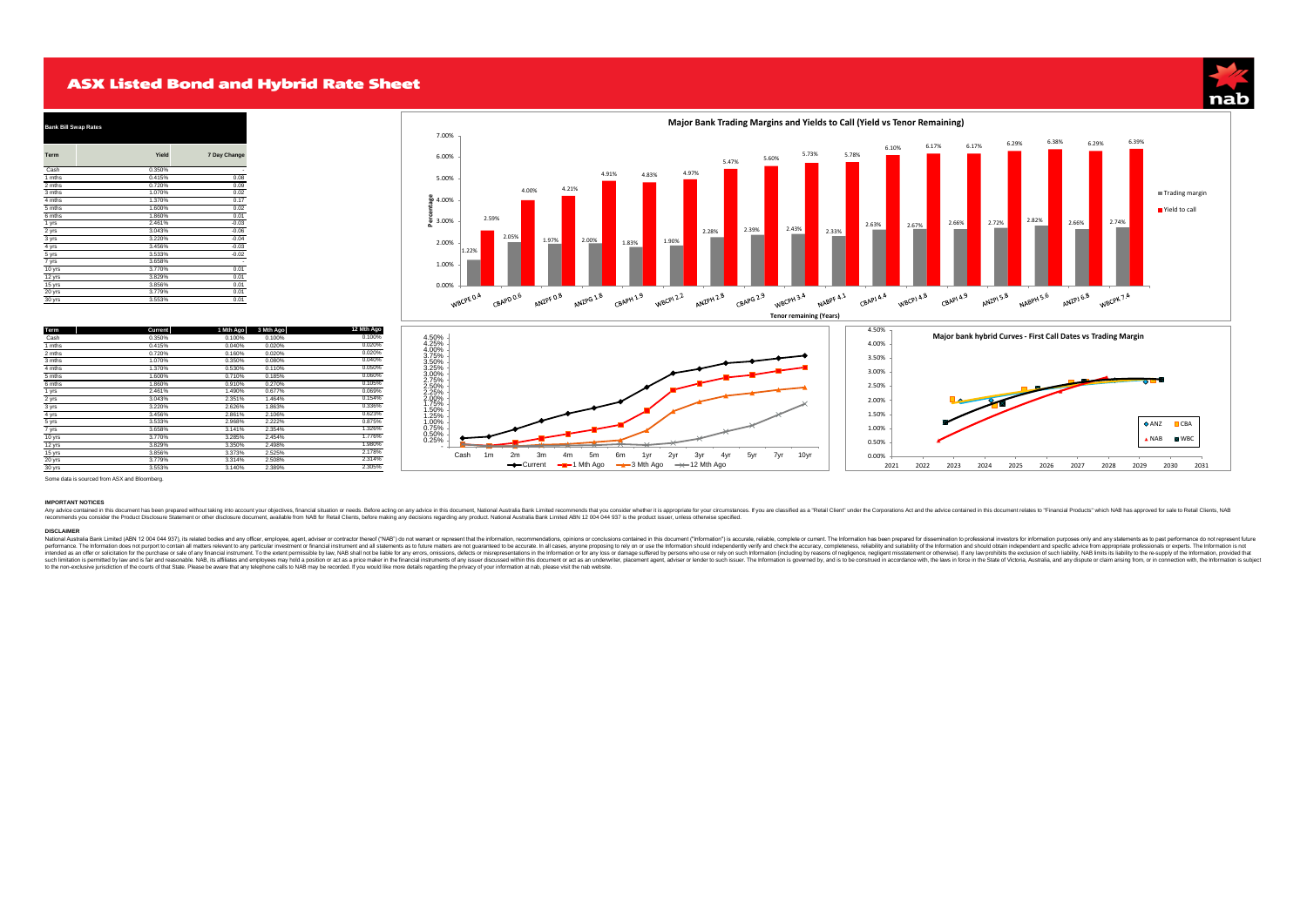## **ASX Listed Bond and Hybrid Rate Sheet**





| Term   | Yield  | 7 Day Change |
|--------|--------|--------------|
| Cash   | 0.350% |              |
| 1 mths | 0.415% | 0.08         |
| 2 mths | 0.720% | 0.09         |
| 3 mths | 1.070% | 0.02         |
| 4 mths | 1.370% | 0.17         |
| 5 mths | 1.600% | 0.02         |
| 6 mths | 1.860% | 0.01         |
| 1 yrs  | 2.461% | $-0.03$      |
| 2 yrs  | 3.043% | $-0.06$      |
| 3 yrs  | 3.220% | $-0.04$      |
| 4 yrs  | 3.456% | $-0.03$      |
| 5 yrs  | 3.533% | $-0.02$      |
| 7 yrs  | 3.658% |              |
| 10 yrs | 3.770% | 0.01         |
| 12 yrs | 3.829% | 0.01         |
| 15 yrs | 3.856% | 0.01         |
| 20 yrs | 3.779% | 0.01         |
| 30 yrs | 3.553% | 0.01         |

| Term   | Current | 1 Mth Ago | 3 Mth Ago | 12 Mth Ago |
|--------|---------|-----------|-----------|------------|
| Cash   | 0.350%  | 0.100%    | 0.100%    | 0.100%     |
| 1 mths | 0.415%  | 0.040%    | 0.020%    | 0.020%     |
| 2 mths | 0.720%  | 0.160%    | 0.020%    | 0.020%     |
| 3 mths | 1.070%  | 0.350%    | 0.080%    | 0.040%     |
| 4 mths | 1.370%  | 0.530%    | 0.110%    | 0.050%     |
| 5 mths | 1.600%  | 0.710%    | 0.185%    | 0.060%     |
| 6 mths | 1.860%  | 0.910%    | 0.270%    | 0.105%     |
| 1 yrs  | 2.461%  | 1.490%    | 0.677%    | 0.069%     |
| 2 yrs  | 3.043%  | 2.351%    | 1.464%    | 0.154%     |
| 3 yrs  | 3.220%  | 2.626%    | 1.863%    | 0.336%     |
| 4 yrs  | 3.456%  | 2.861%    | 2.106%    | 0.623%     |
| 5 yrs  | 3.533%  | 2.968%    | 2.222%    | 0.875%     |
| 7 yrs  | 3.658%  | 3.141%    | 2.354%    | 1.326%     |
| 10 yrs | 3.770%  | 3.285%    | 2.454%    | 1.776%     |
| 12 yrs | 3.829%  | 3.350%    | 2.498%    | 1.980%     |
| 15 yrs | 3.856%  | 3.373%    | 2.525%    | 2.178%     |
| 20 yrs | 3.779%  | 3.314%    | 2.508%    | 2.314%     |
| 30 yrs | 3.553%  | 3.140%    | 2.389%    | 2.305%     |



Some data is sourced from ASX and Bloomberg.

### **IMPORTANT NOTICES**

Ay and in this document has been present without taking into account your objective, finanda ituality are allot the state in the state in the state in the state in the state in the state in the state in the state in the st

DISCIAMERIA BAN Limited (ABN 12.004 044 937), its related boties and any differ, employe, agent, advise or contract thereof ("NAS") do not warrant or represent that the information, recommendations, opinions conclusions co